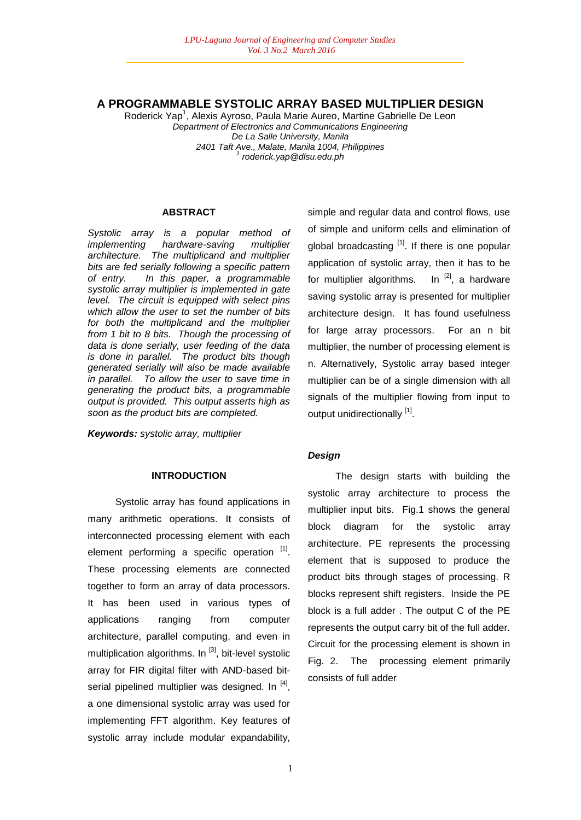# **A PROGRAMMABLE SYSTOLIC ARRAY BASED MULTIPLIER DESIGN**

Roderick Yap<sup>1</sup>, Alexis Ayroso, Paula Marie Aureo, Martine Gabrielle De Leon *Department of Electronics and Communications Engineering De La Salle University, Manila 2401 Taft Ave., Malate, Manila 1004, Philippines 1 roderick.yap@dlsu.edu.ph*

#### **ABSTRACT**

*Systolic array is a popular method of implementing hardware-saving multiplier architecture. The multiplicand and multiplier bits are fed serially following a specific pattern of entry. In this paper, a programmable systolic array multiplier is implemented in gate level. The circuit is equipped with select pins which allow the user to set the number of bits for both the multiplicand and the multiplier from 1 bit to 8 bits. Though the processing of data is done serially, user feeding of the data is done in parallel. The product bits though generated serially will also be made available in parallel. To allow the user to save time in generating the product bits, a programmable output is provided. This output asserts high as soon as the product bits are completed.* 

*Keywords: systolic array, multiplier*

# **INTRODUCTION**

Systolic array has found applications in many arithmetic operations. It consists of interconnected processing element with each element performing a specific operation [1]. These processing elements are connected together to form an array of data processors. It has been used in various types of applications ranging from computer architecture, parallel computing, and even in multiplication algorithms. In  $[3]$ , bit-level systolic array for FIR digital filter with AND-based bitserial pipelined multiplier was designed. In <sup>[4]</sup>, a one dimensional systolic array was used for implementing FFT algorithm. Key features of systolic array include modular expandability,

simple and regular data and control flows, use of simple and uniform cells and elimination of global broadcasting <sup>[1]</sup>. If there is one popular application of systolic array, then it has to be for multiplier algorithms. In  $^{[2]}$ , a hardware saving systolic array is presented for multiplier architecture design. It has found usefulness for large array processors. For an n bit multiplier, the number of processing element is n. Alternatively, Systolic array based integer multiplier can be of a single dimension with all signals of the multiplier flowing from input to output unidirectionally [1].

#### *Design*

The design starts with building the systolic array architecture to process the multiplier input bits. Fig.1 shows the general block diagram for the systolic array architecture. PE represents the processing element that is supposed to produce the product bits through stages of processing. R blocks represent shift registers. Inside the PE block is a full adder . The output C of the PE represents the output carry bit of the full adder. Circuit for the processing element is shown in Fig. 2. The processing element primarily consists of full adder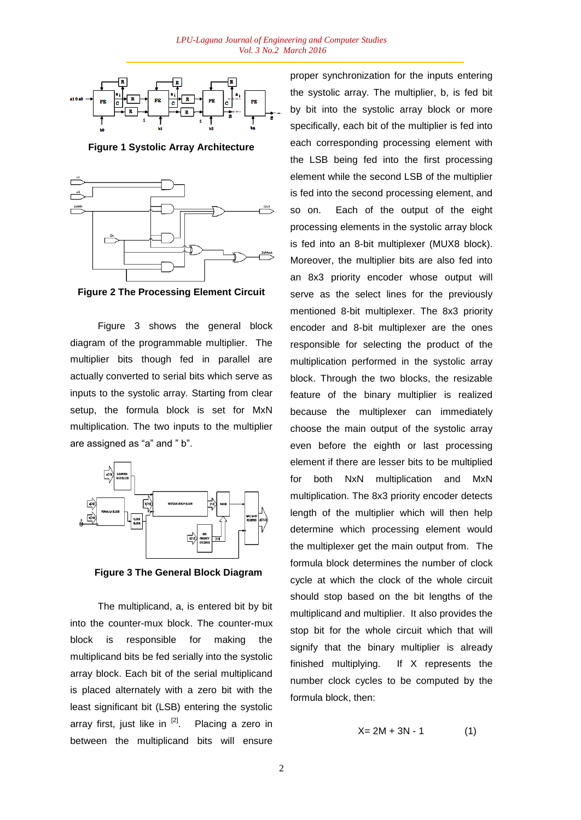

**Figure 1 Systolic Array Architecture**



**Figure 2 The Processing Element Circuit**

Figure 3 shows the general block diagram of the programmable multiplier. The multiplier bits though fed in parallel are actually converted to serial bits which serve as inputs to the systolic array. Starting from clear setup, the formula block is set for MxN multiplication. The two inputs to the multiplier are assigned as "a" and " b".



**Figure 3 The General Block Diagram**

The multiplicand, a, is entered bit by bit into the counter-mux block. The counter-mux block is responsible for making the multiplicand bits be fed serially into the systolic array block. Each bit of the serial multiplicand is placed alternately with a zero bit with the least significant bit (LSB) entering the systolic array first, just like in <sup>[2]</sup>. Placing a zero in between the multiplicand bits will ensure

proper synchronization for the inputs entering the systolic array. The multiplier, b, is fed bit by bit into the systolic array block or more specifically, each bit of the multiplier is fed into each corresponding processing element with the LSB being fed into the first processing element while the second LSB of the multiplier is fed into the second processing element, and so on. Each of the output of the eight processing elements in the systolic array block is fed into an 8-bit multiplexer (MUX8 block). Moreover, the multiplier bits are also fed into an 8x3 priority encoder whose output will serve as the select lines for the previously mentioned 8-bit multiplexer. The 8x3 priority encoder and 8-bit multiplexer are the ones responsible for selecting the product of the multiplication performed in the systolic array block. Through the two blocks, the resizable feature of the binary multiplier is realized because the multiplexer can immediately choose the main output of the systolic array even before the eighth or last processing element if there are lesser bits to be multiplied for both NxN multiplication and MxN multiplication. The 8x3 priority encoder detects length of the multiplier which will then help determine which processing element would the multiplexer get the main output from. The formula block determines the number of clock cycle at which the clock of the whole circuit should stop based on the bit lengths of the multiplicand and multiplier. It also provides the stop bit for the whole circuit which that will signify that the binary multiplier is already finished multiplying. If X represents the number clock cycles to be computed by the formula block, then:

$$
X = 2M + 3N - 1 \tag{1}
$$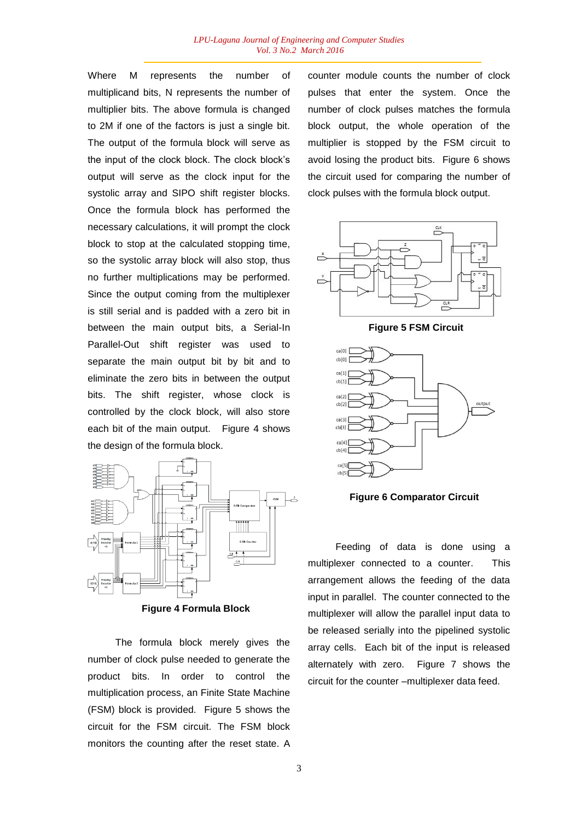Where M represents the number of multiplicand bits, N represents the number of multiplier bits. The above formula is changed to 2M if one of the factors is just a single bit. The output of the formula block will serve as the input of the clock block. The clock block's output will serve as the clock input for the systolic array and SIPO shift register blocks. Once the formula block has performed the necessary calculations, it will prompt the clock block to stop at the calculated stopping time, so the systolic array block will also stop, thus no further multiplications may be performed. Since the output coming from the multiplexer is still serial and is padded with a zero bit in between the main output bits, a Serial-In Parallel-Out shift register was used to separate the main output bit by bit and to eliminate the zero bits in between the output bits. The shift register, whose clock is controlled by the clock block, will also store each bit of the main output. Figure 4 shows the design of the formula block.



**Figure 4 Formula Block**

The formula block merely gives the number of clock pulse needed to generate the product bits. In order to control the multiplication process, an Finite State Machine (FSM) block is provided. Figure 5 shows the circuit for the FSM circuit. The FSM block monitors the counting after the reset state. A

counter module counts the number of clock pulses that enter the system. Once the number of clock pulses matches the formula block output, the whole operation of the multiplier is stopped by the FSM circuit to avoid losing the product bits. Figure 6 shows the circuit used for comparing the number of clock pulses with the formula block output.



**Figure 5 FSM Circuit**



**Figure 6 Comparator Circuit**

Feeding of data is done using a multiplexer connected to a counter. This arrangement allows the feeding of the data input in parallel. The counter connected to the multiplexer will allow the parallel input data to be released serially into the pipelined systolic array cells. Each bit of the input is released alternately with zero. Figure 7 shows the circuit for the counter –multiplexer data feed.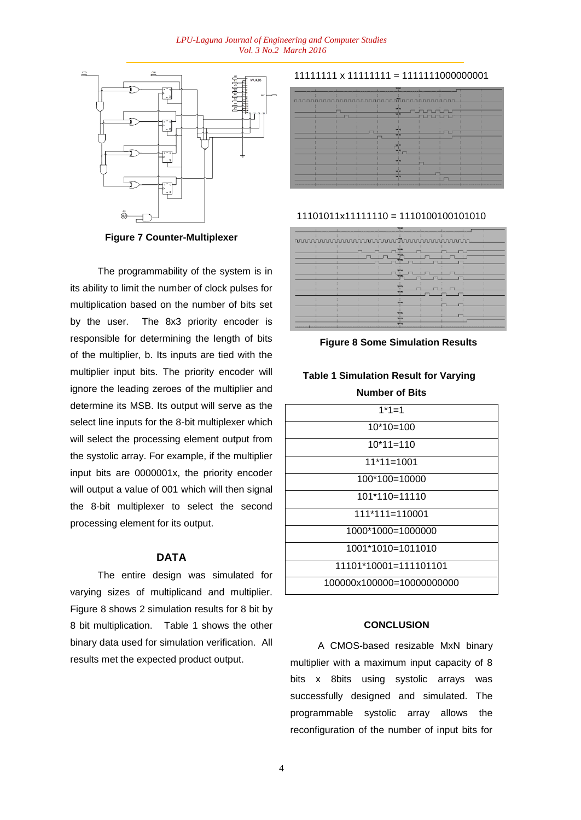#### *LPU-Laguna Journal of Engineering and Computer Studies Vol. 3 No.2 March 2016*



**Figure 7 Counter-Multiplexer**

The programmability of the system is in its ability to limit the number of clock pulses for multiplication based on the number of bits set by the user. The 8x3 priority encoder is responsible for determining the length of bits of the multiplier, b. Its inputs are tied with the multiplier input bits. The priority encoder will ignore the leading zeroes of the multiplier and determine its MSB. Its output will serve as the select line inputs for the 8-bit multiplexer which will select the processing element output from the systolic array. For example, if the multiplier input bits are 0000001x, the priority encoder will output a value of 001 which will then signal the 8-bit multiplexer to select the second processing element for its output.

### **DATA**

The entire design was simulated for varying sizes of multiplicand and multiplier. Figure 8 shows 2 simulation results for 8 bit by 8 bit multiplication. Table 1 shows the other binary data used for simulation verification. All results met the expected product output.

11111111 x 11111111 = 1111111000000001

| nuuunnuunnuunnuunnuunnuunnuu<br><b>Viri hit</b> |
|-------------------------------------------------|
| <b>VHZEI</b><br>6124                            |
| <b>Val 25c</b><br>mzzi<br><b>Vet Pits</b>       |
| <b>WELL</b>                                     |
| <b>VOTES</b>                                    |

## 11101011x11111110 = 1110100100101010



**Figure 8 Some Simulation Results**

# **Table 1 Simulation Result for Varying Number of Bits**

| $1*1=1$                   |
|---------------------------|
| $10*10=100$               |
| $10*11=110$               |
| 11*11=1001                |
| 100*100=10000             |
| $101*110=11110$           |
| 111*111=110001            |
| 1000*1000=1000000         |
| 1001*1010=1011010         |
| $11101*10001=111101101$   |
| 100000x100000=10000000000 |

# **CONCLUSION**

A CMOS-based resizable MxN binary multiplier with a maximum input capacity of 8 bits x 8bits using systolic arrays was successfully designed and simulated. The programmable systolic array allows the reconfiguration of the number of input bits for